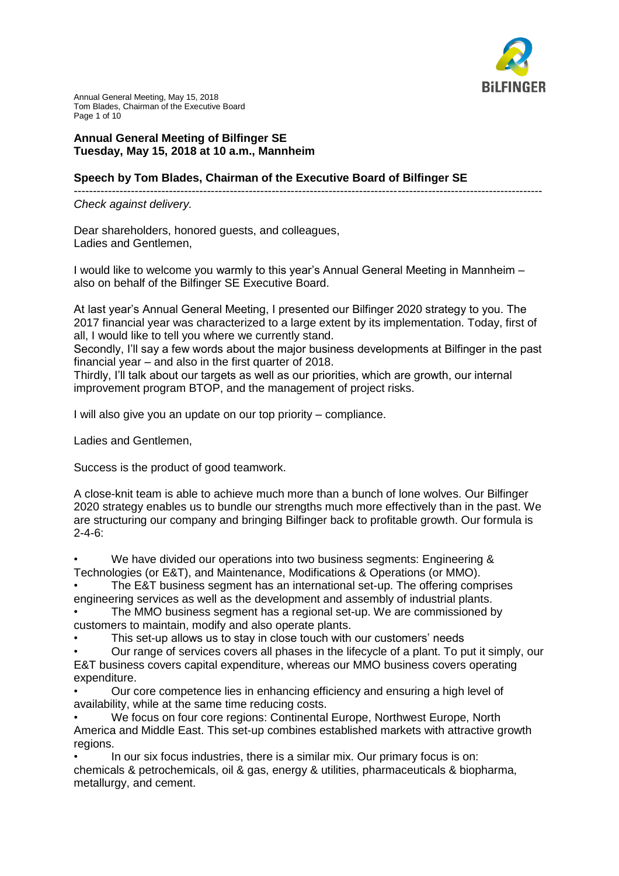

Annual General Meeting, May 15, 2018 Tom Blades, Chairman of the Executive Board Page 1 of 10

## **Annual General Meeting of Bilfinger SE Tuesday, May 15, 2018 at 10 a.m., Mannheim**

## **Speech by Tom Blades, Chairman of the Executive Board of Bilfinger SE**

---------------------------------------------------------------------------------------------------------------------------

## *Check against delivery.*

Dear shareholders, honored guests, and colleagues, Ladies and Gentlemen,

I would like to welcome you warmly to this year's Annual General Meeting in Mannheim – also on behalf of the Bilfinger SE Executive Board.

At last year's Annual General Meeting, I presented our Bilfinger 2020 strategy to you. The 2017 financial year was characterized to a large extent by its implementation. Today, first of all, I would like to tell you where we currently stand.

Secondly, I'll say a few words about the major business developments at Bilfinger in the past financial year – and also in the first quarter of 2018.

Thirdly, I'll talk about our targets as well as our priorities, which are growth, our internal improvement program BTOP, and the management of project risks.

I will also give you an update on our top priority – compliance.

Ladies and Gentlemen,

Success is the product of good teamwork.

A close-knit team is able to achieve much more than a bunch of lone wolves. Our Bilfinger 2020 strategy enables us to bundle our strengths much more effectively than in the past. We are structuring our company and bringing Bilfinger back to profitable growth. Our formula is 2-4-6:

We have divided our operations into two business segments: Engineering & Technologies (or E&T), and Maintenance, Modifications & Operations (or MMO).

The E&T business segment has an international set-up. The offering comprises engineering services as well as the development and assembly of industrial plants.

• The MMO business segment has a regional set-up. We are commissioned by customers to maintain, modify and also operate plants.

This set-up allows us to stay in close touch with our customers' needs

• Our range of services covers all phases in the lifecycle of a plant. To put it simply, our E&T business covers capital expenditure, whereas our MMO business covers operating expenditure.

• Our core competence lies in enhancing efficiency and ensuring a high level of availability, while at the same time reducing costs.

• We focus on four core regions: Continental Europe, Northwest Europe, North America and Middle East. This set-up combines established markets with attractive growth regions.

In our six focus industries, there is a similar mix. Our primary focus is on: chemicals & petrochemicals, oil & gas, energy & utilities, pharmaceuticals & biopharma, metallurgy, and cement.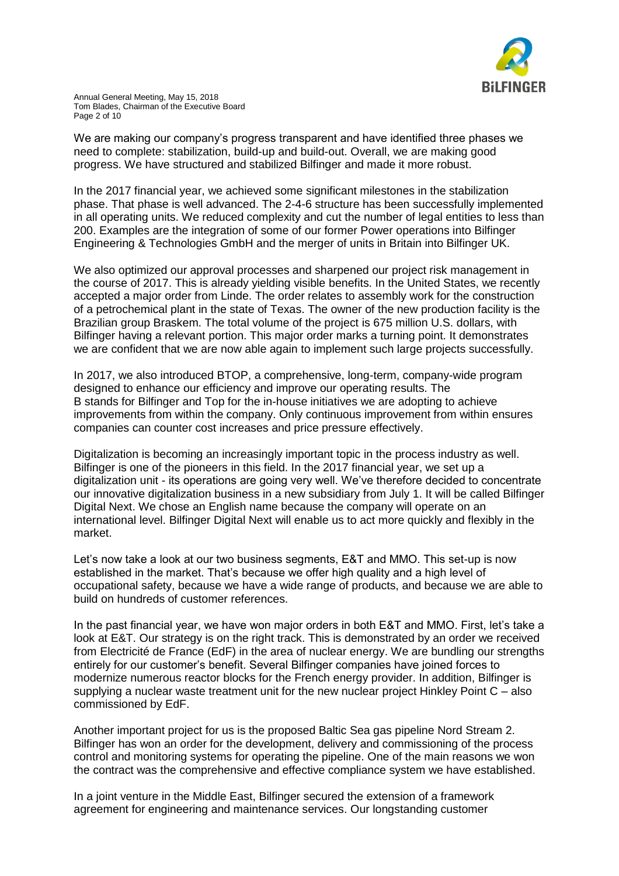

We are making our company's progress transparent and have identified three phases we need to complete: stabilization, build-up and build-out. Overall, we are making good progress. We have structured and stabilized Bilfinger and made it more robust.

In the 2017 financial year, we achieved some significant milestones in the stabilization phase. That phase is well advanced. The 2-4-6 structure has been successfully implemented in all operating units. We reduced complexity and cut the number of legal entities to less than 200. Examples are the integration of some of our former Power operations into Bilfinger Engineering & Technologies GmbH and the merger of units in Britain into Bilfinger UK.

We also optimized our approval processes and sharpened our project risk management in the course of 2017. This is already yielding visible benefits. In the United States, we recently accepted a major order from Linde. The order relates to assembly work for the construction of a petrochemical plant in the state of Texas. The owner of the new production facility is the Brazilian group Braskem. The total volume of the project is 675 million U.S. dollars, with Bilfinger having a relevant portion. This major order marks a turning point. It demonstrates we are confident that we are now able again to implement such large projects successfully.

In 2017, we also introduced BTOP, a comprehensive, long-term, company-wide program designed to enhance our efficiency and improve our operating results. The B stands for Bilfinger and Top for the in-house initiatives we are adopting to achieve improvements from within the company. Only continuous improvement from within ensures companies can counter cost increases and price pressure effectively.

Digitalization is becoming an increasingly important topic in the process industry as well. Bilfinger is one of the pioneers in this field. In the 2017 financial year, we set up a digitalization unit - its operations are going very well. We've therefore decided to concentrate our innovative digitalization business in a new subsidiary from July 1. It will be called Bilfinger Digital Next. We chose an English name because the company will operate on an international level. Bilfinger Digital Next will enable us to act more quickly and flexibly in the market.

Let's now take a look at our two business segments, E&T and MMO. This set-up is now established in the market. That's because we offer high quality and a high level of occupational safety, because we have a wide range of products, and because we are able to build on hundreds of customer references.

In the past financial year, we have won major orders in both E&T and MMO. First, let's take a look at E&T. Our strategy is on the right track. This is demonstrated by an order we received from Electricité de France (EdF) in the area of nuclear energy. We are bundling our strengths entirely for our customer's benefit. Several Bilfinger companies have joined forces to modernize numerous reactor blocks for the French energy provider. In addition, Bilfinger is supplying a nuclear waste treatment unit for the new nuclear project Hinkley Point C – also commissioned by EdF.

Another important project for us is the proposed Baltic Sea gas pipeline Nord Stream 2. Bilfinger has won an order for the development, delivery and commissioning of the process control and monitoring systems for operating the pipeline. One of the main reasons we won the contract was the comprehensive and effective compliance system we have established.

In a joint venture in the Middle East, Bilfinger secured the extension of a framework agreement for engineering and maintenance services. Our longstanding customer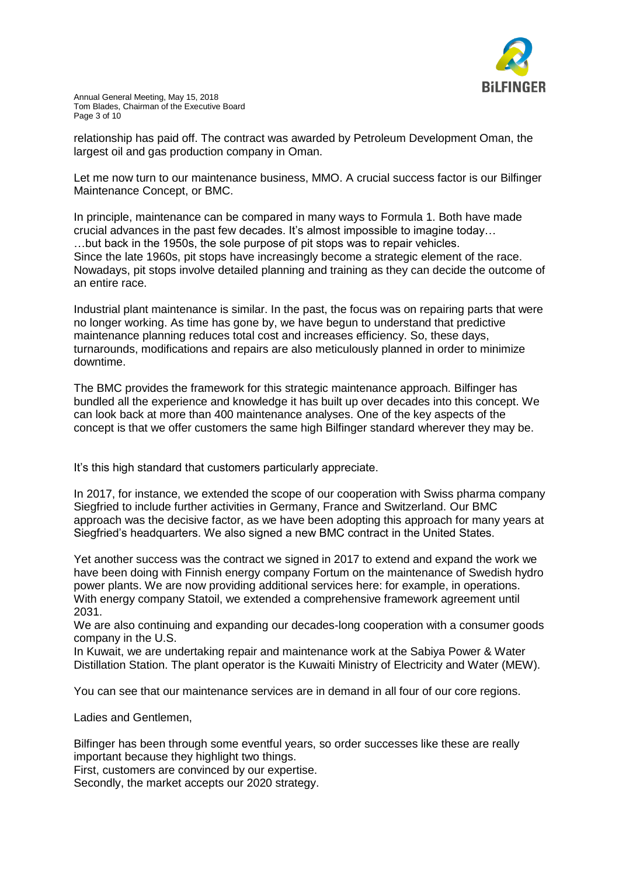

relationship has paid off. The contract was awarded by Petroleum Development Oman, the largest oil and gas production company in Oman.

Let me now turn to our maintenance business, MMO. A crucial success factor is our Bilfinger Maintenance Concept, or BMC.

In principle, maintenance can be compared in many ways to Formula 1. Both have made crucial advances in the past few decades. It's almost impossible to imagine today… …but back in the 1950s, the sole purpose of pit stops was to repair vehicles. Since the late 1960s, pit stops have increasingly become a strategic element of the race. Nowadays, pit stops involve detailed planning and training as they can decide the outcome of an entire race.

Industrial plant maintenance is similar. In the past, the focus was on repairing parts that were no longer working. As time has gone by, we have begun to understand that predictive maintenance planning reduces total cost and increases efficiency. So, these days, turnarounds, modifications and repairs are also meticulously planned in order to minimize downtime.

The BMC provides the framework for this strategic maintenance approach. Bilfinger has bundled all the experience and knowledge it has built up over decades into this concept. We can look back at more than 400 maintenance analyses. One of the key aspects of the concept is that we offer customers the same high Bilfinger standard wherever they may be.

It's this high standard that customers particularly appreciate.

In 2017, for instance, we extended the scope of our cooperation with Swiss pharma company Siegfried to include further activities in Germany, France and Switzerland. Our BMC approach was the decisive factor, as we have been adopting this approach for many years at Siegfried's headquarters. We also signed a new BMC contract in the United States.

Yet another success was the contract we signed in 2017 to extend and expand the work we have been doing with Finnish energy company Fortum on the maintenance of Swedish hydro power plants. We are now providing additional services here: for example, in operations. With energy company Statoil, we extended a comprehensive framework agreement until 2031.

We are also continuing and expanding our decades-long cooperation with a consumer goods company in the U.S.

In Kuwait, we are undertaking repair and maintenance work at the Sabiya Power & Water Distillation Station. The plant operator is the Kuwaiti Ministry of Electricity and Water (MEW).

You can see that our maintenance services are in demand in all four of our core regions.

Ladies and Gentlemen,

Bilfinger has been through some eventful years, so order successes like these are really important because they highlight two things.

First, customers are convinced by our expertise.

Secondly, the market accepts our 2020 strategy.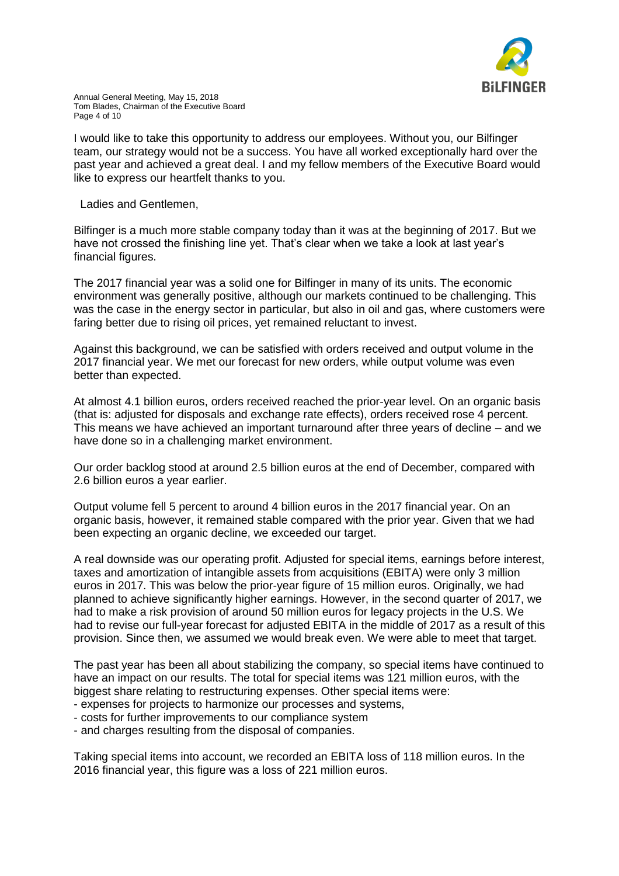

I would like to take this opportunity to address our employees. Without you, our Bilfinger team, our strategy would not be a success. You have all worked exceptionally hard over the past year and achieved a great deal. I and my fellow members of the Executive Board would like to express our heartfelt thanks to you.

Ladies and Gentlemen,

Bilfinger is a much more stable company today than it was at the beginning of 2017. But we have not crossed the finishing line yet. That's clear when we take a look at last year's financial figures.

The 2017 financial year was a solid one for Bilfinger in many of its units. The economic environment was generally positive, although our markets continued to be challenging. This was the case in the energy sector in particular, but also in oil and gas, where customers were faring better due to rising oil prices, yet remained reluctant to invest.

Against this background, we can be satisfied with orders received and output volume in the 2017 financial year. We met our forecast for new orders, while output volume was even better than expected.

At almost 4.1 billion euros, orders received reached the prior-year level. On an organic basis (that is: adjusted for disposals and exchange rate effects), orders received rose 4 percent. This means we have achieved an important turnaround after three years of decline – and we have done so in a challenging market environment.

Our order backlog stood at around 2.5 billion euros at the end of December, compared with 2.6 billion euros a year earlier.

Output volume fell 5 percent to around 4 billion euros in the 2017 financial year. On an organic basis, however, it remained stable compared with the prior year. Given that we had been expecting an organic decline, we exceeded our target.

A real downside was our operating profit. Adjusted for special items, earnings before interest, taxes and amortization of intangible assets from acquisitions (EBITA) were only 3 million euros in 2017. This was below the prior-year figure of 15 million euros. Originally, we had planned to achieve significantly higher earnings. However, in the second quarter of 2017, we had to make a risk provision of around 50 million euros for legacy projects in the U.S. We had to revise our full-year forecast for adjusted EBITA in the middle of 2017 as a result of this provision. Since then, we assumed we would break even. We were able to meet that target.

The past year has been all about stabilizing the company, so special items have continued to have an impact on our results. The total for special items was 121 million euros, with the biggest share relating to restructuring expenses. Other special items were:

- expenses for projects to harmonize our processes and systems,
- costs for further improvements to our compliance system
- and charges resulting from the disposal of companies.

Taking special items into account, we recorded an EBITA loss of 118 million euros. In the 2016 financial year, this figure was a loss of 221 million euros.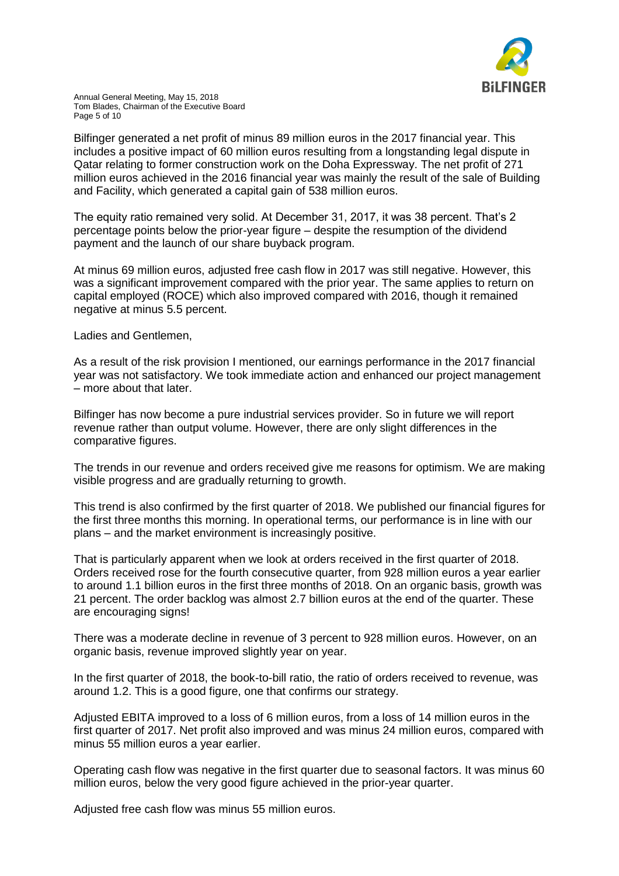

Bilfinger generated a net profit of minus 89 million euros in the 2017 financial year. This includes a positive impact of 60 million euros resulting from a longstanding legal dispute in Qatar relating to former construction work on the Doha Expressway. The net profit of 271 million euros achieved in the 2016 financial year was mainly the result of the sale of Building and Facility, which generated a capital gain of 538 million euros.

The equity ratio remained very solid. At December 31, 2017, it was 38 percent. That's 2 percentage points below the prior-year figure – despite the resumption of the dividend payment and the launch of our share buyback program.

At minus 69 million euros, adjusted free cash flow in 2017 was still negative. However, this was a significant improvement compared with the prior year. The same applies to return on capital employed (ROCE) which also improved compared with 2016, though it remained negative at minus 5.5 percent.

Ladies and Gentlemen,

As a result of the risk provision I mentioned, our earnings performance in the 2017 financial year was not satisfactory. We took immediate action and enhanced our project management – more about that later.

Bilfinger has now become a pure industrial services provider. So in future we will report revenue rather than output volume. However, there are only slight differences in the comparative figures.

The trends in our revenue and orders received give me reasons for optimism. We are making visible progress and are gradually returning to growth.

This trend is also confirmed by the first quarter of 2018. We published our financial figures for the first three months this morning. In operational terms, our performance is in line with our plans – and the market environment is increasingly positive.

That is particularly apparent when we look at orders received in the first quarter of 2018. Orders received rose for the fourth consecutive quarter, from 928 million euros a year earlier to around 1.1 billion euros in the first three months of 2018. On an organic basis, growth was 21 percent. The order backlog was almost 2.7 billion euros at the end of the quarter. These are encouraging signs!

There was a moderate decline in revenue of 3 percent to 928 million euros. However, on an organic basis, revenue improved slightly year on year.

In the first quarter of 2018, the book-to-bill ratio, the ratio of orders received to revenue, was around 1.2. This is a good figure, one that confirms our strategy.

Adjusted EBITA improved to a loss of 6 million euros, from a loss of 14 million euros in the first quarter of 2017. Net profit also improved and was minus 24 million euros, compared with minus 55 million euros a year earlier.

Operating cash flow was negative in the first quarter due to seasonal factors. It was minus 60 million euros, below the very good figure achieved in the prior-year quarter.

Adjusted free cash flow was minus 55 million euros.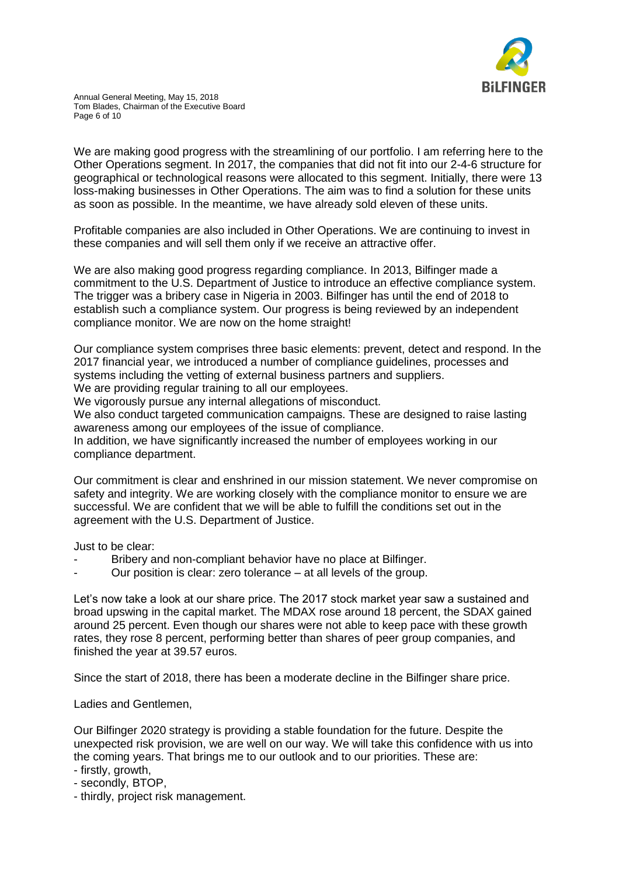

We are making good progress with the streamlining of our portfolio. I am referring here to the Other Operations segment. In 2017, the companies that did not fit into our 2-4-6 structure for geographical or technological reasons were allocated to this segment. Initially, there were 13 loss-making businesses in Other Operations. The aim was to find a solution for these units as soon as possible. In the meantime, we have already sold eleven of these units.

Profitable companies are also included in Other Operations. We are continuing to invest in these companies and will sell them only if we receive an attractive offer.

We are also making good progress regarding compliance. In 2013, Bilfinger made a commitment to the U.S. Department of Justice to introduce an effective compliance system. The trigger was a bribery case in Nigeria in 2003. Bilfinger has until the end of 2018 to establish such a compliance system. Our progress is being reviewed by an independent compliance monitor. We are now on the home straight!

Our compliance system comprises three basic elements: prevent, detect and respond. In the 2017 financial year, we introduced a number of compliance guidelines, processes and systems including the vetting of external business partners and suppliers. We are providing regular training to all our employees.

We vigorously pursue any internal allegations of misconduct.

We also conduct targeted communication campaigns. These are designed to raise lasting awareness among our employees of the issue of compliance.

In addition, we have significantly increased the number of employees working in our compliance department.

Our commitment is clear and enshrined in our mission statement. We never compromise on safety and integrity. We are working closely with the compliance monitor to ensure we are successful. We are confident that we will be able to fulfill the conditions set out in the agreement with the U.S. Department of Justice.

Just to be clear:

- Bribery and non-compliant behavior have no place at Bilfinger.
- Our position is clear: zero tolerance at all levels of the group.

Let's now take a look at our share price. The 2017 stock market year saw a sustained and broad upswing in the capital market. The MDAX rose around 18 percent, the SDAX gained around 25 percent. Even though our shares were not able to keep pace with these growth rates, they rose 8 percent, performing better than shares of peer group companies, and finished the year at 39.57 euros.

Since the start of 2018, there has been a moderate decline in the Bilfinger share price.

Ladies and Gentlemen,

Our Bilfinger 2020 strategy is providing a stable foundation for the future. Despite the unexpected risk provision, we are well on our way. We will take this confidence with us into the coming years. That brings me to our outlook and to our priorities. These are:

- firstly, growth,
- secondly, BTOP,
- thirdly, project risk management.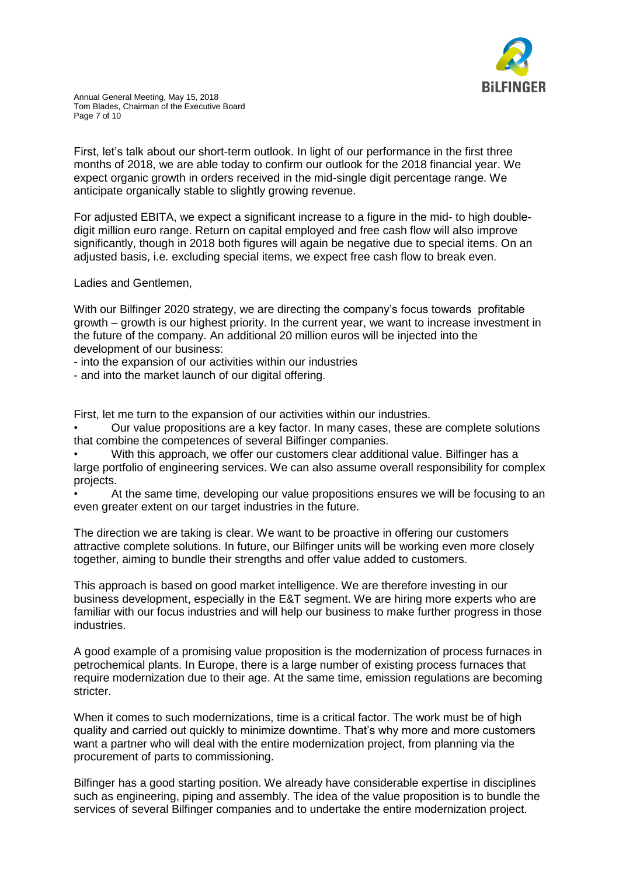

First, let's talk about our short-term outlook. In light of our performance in the first three months of 2018, we are able today to confirm our outlook for the 2018 financial year. We expect organic growth in orders received in the mid-single digit percentage range. We anticipate organically stable to slightly growing revenue.

For adjusted EBITA, we expect a significant increase to a figure in the mid- to high doubledigit million euro range. Return on capital employed and free cash flow will also improve significantly, though in 2018 both figures will again be negative due to special items. On an adjusted basis, i.e. excluding special items, we expect free cash flow to break even.

Ladies and Gentlemen,

With our Bilfinger 2020 strategy, we are directing the company's focus towards profitable growth – growth is our highest priority. In the current year, we want to increase investment in the future of the company. An additional 20 million euros will be injected into the development of our business:

- into the expansion of our activities within our industries

- and into the market launch of our digital offering.

First, let me turn to the expansion of our activities within our industries.

• Our value propositions are a key factor. In many cases, these are complete solutions that combine the competences of several Bilfinger companies.

• With this approach, we offer our customers clear additional value. Bilfinger has a large portfolio of engineering services. We can also assume overall responsibility for complex projects.

• At the same time, developing our value propositions ensures we will be focusing to an even greater extent on our target industries in the future.

The direction we are taking is clear. We want to be proactive in offering our customers attractive complete solutions. In future, our Bilfinger units will be working even more closely together, aiming to bundle their strengths and offer value added to customers.

This approach is based on good market intelligence. We are therefore investing in our business development, especially in the E&T segment. We are hiring more experts who are familiar with our focus industries and will help our business to make further progress in those industries.

A good example of a promising value proposition is the modernization of process furnaces in petrochemical plants. In Europe, there is a large number of existing process furnaces that require modernization due to their age. At the same time, emission regulations are becoming stricter.

When it comes to such modernizations, time is a critical factor. The work must be of high quality and carried out quickly to minimize downtime. That's why more and more customers want a partner who will deal with the entire modernization project, from planning via the procurement of parts to commissioning.

Bilfinger has a good starting position. We already have considerable expertise in disciplines such as engineering, piping and assembly. The idea of the value proposition is to bundle the services of several Bilfinger companies and to undertake the entire modernization project.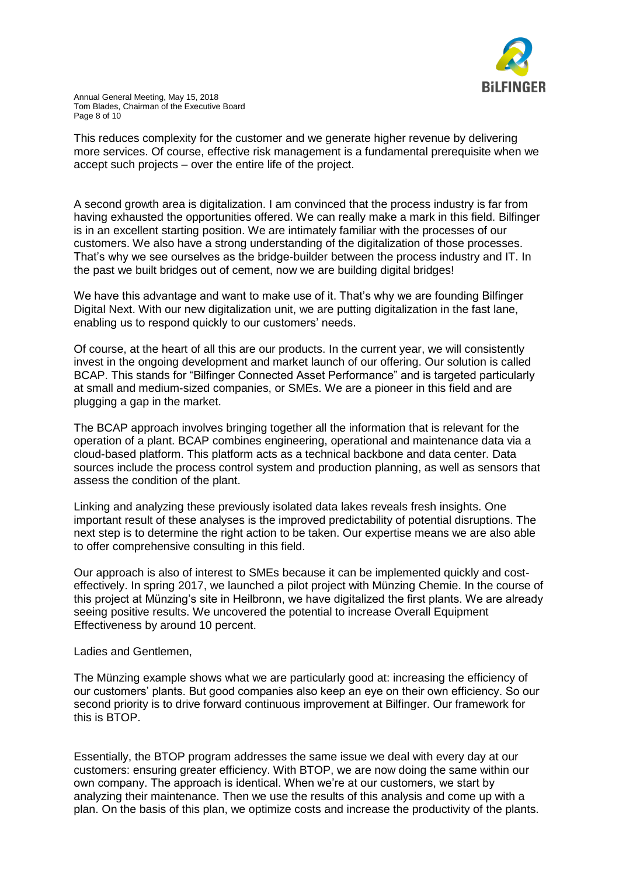

This reduces complexity for the customer and we generate higher revenue by delivering more services. Of course, effective risk management is a fundamental prerequisite when we accept such projects – over the entire life of the project.

A second growth area is digitalization. I am convinced that the process industry is far from having exhausted the opportunities offered. We can really make a mark in this field. Bilfinger is in an excellent starting position. We are intimately familiar with the processes of our customers. We also have a strong understanding of the digitalization of those processes. That's why we see ourselves as the bridge-builder between the process industry and IT. In the past we built bridges out of cement, now we are building digital bridges!

We have this advantage and want to make use of it. That's why we are founding Bilfinger Digital Next. With our new digitalization unit, we are putting digitalization in the fast lane, enabling us to respond quickly to our customers' needs.

Of course, at the heart of all this are our products. In the current year, we will consistently invest in the ongoing development and market launch of our offering. Our solution is called BCAP. This stands for "Bilfinger Connected Asset Performance" and is targeted particularly at small and medium-sized companies, or SMEs. We are a pioneer in this field and are plugging a gap in the market.

The BCAP approach involves bringing together all the information that is relevant for the operation of a plant. BCAP combines engineering, operational and maintenance data via a cloud-based platform. This platform acts as a technical backbone and data center. Data sources include the process control system and production planning, as well as sensors that assess the condition of the plant.

Linking and analyzing these previously isolated data lakes reveals fresh insights. One important result of these analyses is the improved predictability of potential disruptions. The next step is to determine the right action to be taken. Our expertise means we are also able to offer comprehensive consulting in this field.

Our approach is also of interest to SMEs because it can be implemented quickly and costeffectively. In spring 2017, we launched a pilot project with Münzing Chemie. In the course of this project at Münzing's site in Heilbronn, we have digitalized the first plants. We are already seeing positive results. We uncovered the potential to increase Overall Equipment Effectiveness by around 10 percent.

Ladies and Gentlemen,

The Münzing example shows what we are particularly good at: increasing the efficiency of our customers' plants. But good companies also keep an eye on their own efficiency. So our second priority is to drive forward continuous improvement at Bilfinger. Our framework for this is BTOP.

Essentially, the BTOP program addresses the same issue we deal with every day at our customers: ensuring greater efficiency. With BTOP, we are now doing the same within our own company. The approach is identical. When we're at our customers, we start by analyzing their maintenance. Then we use the results of this analysis and come up with a plan. On the basis of this plan, we optimize costs and increase the productivity of the plants.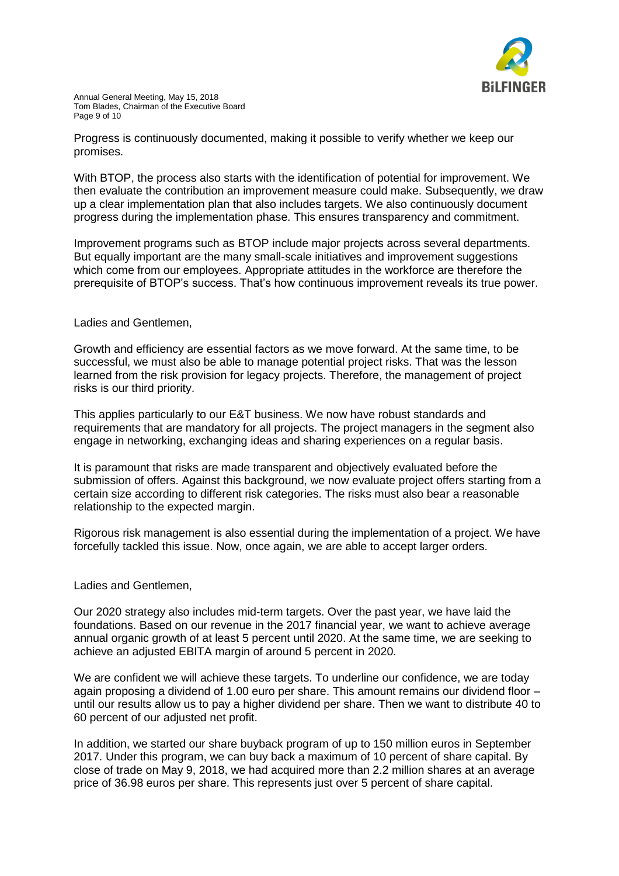

Progress is continuously documented, making it possible to verify whether we keep our promises.

With BTOP, the process also starts with the identification of potential for improvement. We then evaluate the contribution an improvement measure could make. Subsequently, we draw up a clear implementation plan that also includes targets. We also continuously document progress during the implementation phase. This ensures transparency and commitment.

Improvement programs such as BTOP include major projects across several departments. But equally important are the many small-scale initiatives and improvement suggestions which come from our employees. Appropriate attitudes in the workforce are therefore the prerequisite of BTOP's success. That's how continuous improvement reveals its true power.

## Ladies and Gentlemen,

Growth and efficiency are essential factors as we move forward. At the same time, to be successful, we must also be able to manage potential project risks. That was the lesson learned from the risk provision for legacy projects. Therefore, the management of project risks is our third priority.

This applies particularly to our E&T business. We now have robust standards and requirements that are mandatory for all projects. The project managers in the segment also engage in networking, exchanging ideas and sharing experiences on a regular basis.

It is paramount that risks are made transparent and objectively evaluated before the submission of offers. Against this background, we now evaluate project offers starting from a certain size according to different risk categories. The risks must also bear a reasonable relationship to the expected margin.

Rigorous risk management is also essential during the implementation of a project. We have forcefully tackled this issue. Now, once again, we are able to accept larger orders.

Ladies and Gentlemen,

Our 2020 strategy also includes mid-term targets. Over the past year, we have laid the foundations. Based on our revenue in the 2017 financial year, we want to achieve average annual organic growth of at least 5 percent until 2020. At the same time, we are seeking to achieve an adjusted EBITA margin of around 5 percent in 2020.

We are confident we will achieve these targets. To underline our confidence, we are today again proposing a dividend of 1.00 euro per share. This amount remains our dividend floor – until our results allow us to pay a higher dividend per share. Then we want to distribute 40 to 60 percent of our adjusted net profit.

In addition, we started our share buyback program of up to 150 million euros in September 2017. Under this program, we can buy back a maximum of 10 percent of share capital. By close of trade on May 9, 2018, we had acquired more than 2.2 million shares at an average price of 36.98 euros per share. This represents just over 5 percent of share capital.